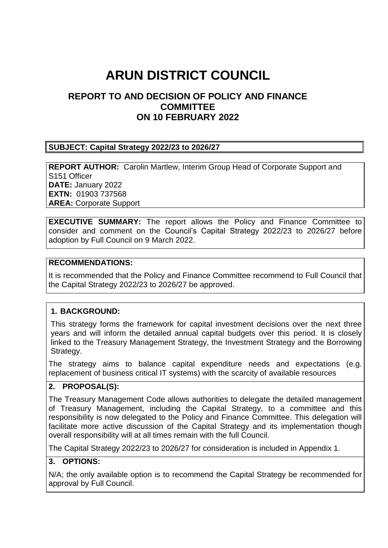# **ARUN DISTRICT COUNCIL**

# **REPORT TO AND DECISION OF POLICY AND FINANCE COMMITTEE ON 10 FEBRUARY 2022**

#### **SUBJECT: Capital Strategy 2022/23 to 2026/27**

**REPORT AUTHOR:** Carolin Martlew, Interim Group Head of Corporate Support and S151 Officer **DATE:** January 2022 **EXTN:** 01903 737568 **AREA:** Corporate Support

**EXECUTIVE SUMMARY:** The report allows the Policy and Finance Committee to consider and comment on the Council's Capital Strategy 2022/23 to 2026/27 before adoption by Full Council on 9 March 2022.

#### **RECOMMENDATIONS:**

It is recommended that the Policy and Finance Committee recommend to Full Council that the Capital Strategy 2022/23 to 2026/27 be approved.

#### **1. BACKGROUND:**

This strategy forms the framework for capital investment decisions over the next three years and will inform the detailed annual capital budgets over this period. It is closely linked to the Treasury Management Strategy, the Investment Strategy and the Borrowing Strategy.

The strategy aims to balance capital expenditure needs and expectations (e.g. replacement of business critical IT systems) with the scarcity of available resources

## **2. PROPOSAL(S):**

The Treasury Management Code allows authorities to delegate the detailed management of Treasury Management, including the Capital Strategy, to a committee and this responsibility is now delegated to the Policy and Finance Committee. This delegation will facilitate more active discussion of the Capital Strategy and its implementation though overall responsibility will at all times remain with the full Council.

The Capital Strategy 2022/23 to 2026/27 for consideration is included in Appendix 1.

#### **3. OPTIONS:**

N/A; the only available option is to recommend the Capital Strategy be recommended for approval by Full Council.